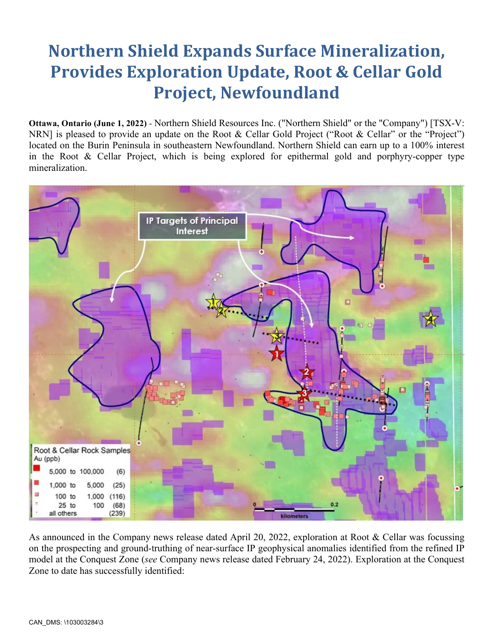# **Northern Shield Expands Surface Mineralization, Provides Exploration Update, Root & Cellar Gold Project, Newfoundland**

**Ottawa, Ontario (June 1, 2022)** - Northern Shield Resources Inc. ("Northern Shield" or the "Company") [TSX-V: NRN] is pleased to provide an update on the Root & Cellar Gold Project ("Root & Cellar" or the "Project") located on the Burin Peninsula in southeastern Newfoundland. Northern Shield can earn up to a 100% interest in the Root & Cellar Project, which is being explored for epithermal gold and porphyry-copper type mineralization.



As announced in the Company news release dated April 20, 2022, exploration at Root & Cellar was focussing on the prospecting and ground-truthing of near-surface IP geophysical anomalies identified from the refined IP model at the Conquest Zone (*see* Company news release dated February 24, 2022). Exploration at the Conquest Zone to date has successfully identified: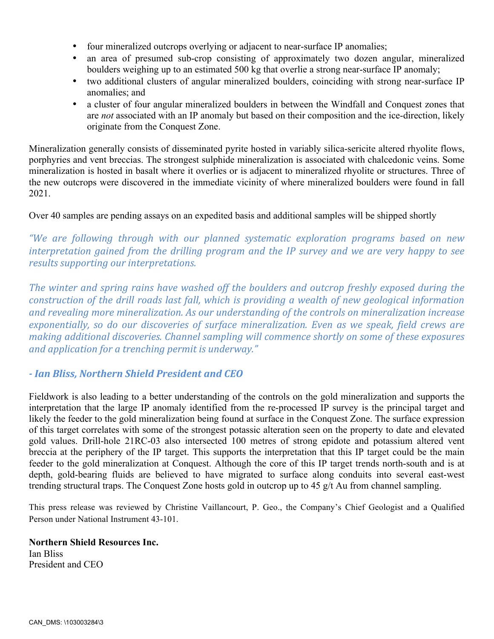- four mineralized outcrops overlying or adjacent to near-surface IP anomalies;
- an area of presumed sub-crop consisting of approximately two dozen angular, mineralized boulders weighing up to an estimated 500 kg that overlie a strong near-surface IP anomaly;
- two additional clusters of angular mineralized boulders, coinciding with strong near-surface IP anomalies; and
- a cluster of four angular mineralized boulders in between the Windfall and Conquest zones that are *not* associated with an IP anomaly but based on their composition and the ice-direction, likely originate from the Conquest Zone.

Mineralization generally consists of disseminated pyrite hosted in variably silica-sericite altered rhyolite flows, porphyries and vent breccias. The strongest sulphide mineralization is associated with chalcedonic veins. Some mineralization is hosted in basalt where it overlies or is adjacent to mineralized rhyolite or structures. Three of the new outcrops were discovered in the immediate vicinity of where mineralized boulders were found in fall 2021.

Over 40 samples are pending assays on an expedited basis and additional samples will be shipped shortly

*"We are following through with our planned systematic exploration programs based on new interpretation gained from the drilling program and the IP survey and we are very happy to see results supporting our interpretations.* 

The winter and spring rains have washed off the boulders and outcrop freshly exposed during the *construction of the drill roads last fall, which is providing a wealth of new geological information* and revealing more mineralization. As our understanding of the controls on mineralization increase *exponentially, so do our discoveries of surface mineralization. Even as we speak, field crews are making additional discoveries. Channel sampling will commence shortly on some of these exposures and application for a trenching permit is underway."* 

# *- Ian Bliss, Northern Shield President and CEO*

Fieldwork is also leading to a better understanding of the controls on the gold mineralization and supports the interpretation that the large IP anomaly identified from the re-processed IP survey is the principal target and likely the feeder to the gold mineralization being found at surface in the Conquest Zone. The surface expression of this target correlates with some of the strongest potassic alteration seen on the property to date and elevated gold values. Drill-hole 21RC-03 also intersected 100 metres of strong epidote and potassium altered vent breccia at the periphery of the IP target. This supports the interpretation that this IP target could be the main feeder to the gold mineralization at Conquest. Although the core of this IP target trends north-south and is at depth, gold-bearing fluids are believed to have migrated to surface along conduits into several east-west trending structural traps. The Conquest Zone hosts gold in outcrop up to 45 g/t Au from channel sampling.

This press release was reviewed by Christine Vaillancourt, P. Geo., the Company's Chief Geologist and a Qualified Person under National Instrument 43-101.

### **Northern Shield Resources Inc.**

Ian Bliss President and CEO